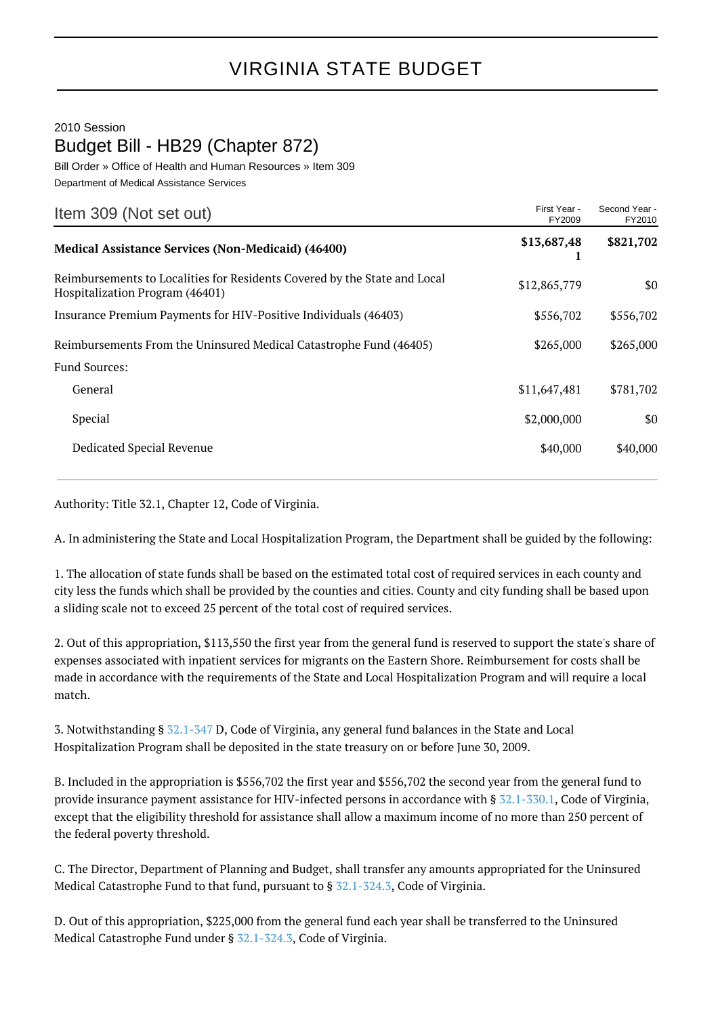## VIRGINIA STATE BUDGET

## 2010 Session Budget Bill - HB29 (Chapter 872)

Bill Order » Office of Health and Human Resources » Item 309 Department of Medical Assistance Services

| Item 309 (Not set out)                                                                                       | First Year -<br>FY2009 | Second Year -<br>FY2010 |
|--------------------------------------------------------------------------------------------------------------|------------------------|-------------------------|
| Medical Assistance Services (Non-Medicaid) (46400)                                                           | \$13,687,48            | \$821,702               |
| Reimbursements to Localities for Residents Covered by the State and Local<br>Hospitalization Program (46401) | \$12,865,779           | \$0                     |
| Insurance Premium Payments for HIV-Positive Individuals (46403)                                              | \$556,702              | \$556,702               |
| Reimbursements From the Uninsured Medical Catastrophe Fund (46405)                                           | \$265,000              | \$265,000               |
| <b>Fund Sources:</b>                                                                                         |                        |                         |
| General                                                                                                      | \$11,647,481           | \$781,702               |
| Special                                                                                                      | \$2,000,000            | \$0                     |
| Dedicated Special Revenue                                                                                    | \$40,000               | \$40,000                |

Authority: Title 32.1, Chapter 12, Code of Virginia.

A. In administering the State and Local Hospitalization Program, the Department shall be guided by the following:

1. The allocation of state funds shall be based on the estimated total cost of required services in each county and city less the funds which shall be provided by the counties and cities. County and city funding shall be based upon a sliding scale not to exceed 25 percent of the total cost of required services.

2. Out of this appropriation, \$113,550 the first year from the general fund is reserved to support the state's share of expenses associated with inpatient services for migrants on the Eastern Shore. Reimbursement for costs shall be made in accordance with the requirements of the State and Local Hospitalization Program and will require a local match.

3. Notwithstanding § [32.1-347](http://law.lis.virginia.gov/vacode/32.1-347/) D, Code of Virginia, any general fund balances in the State and Local Hospitalization Program shall be deposited in the state treasury on or before June 30, 2009.

B. Included in the appropriation is \$556,702 the first year and \$556,702 the second year from the general fund to provide insurance payment assistance for HIV-infected persons in accordance with § [32.1-330.1,](http://law.lis.virginia.gov/vacode/32.1-330.1/) Code of Virginia, except that the eligibility threshold for assistance shall allow a maximum income of no more than 250 percent of the federal poverty threshold.

C. The Director, Department of Planning and Budget, shall transfer any amounts appropriated for the Uninsured Medical Catastrophe Fund to that fund, pursuant to § [32.1-324.3](http://law.lis.virginia.gov/vacode/32.1-324.3/), Code of Virginia.

D. Out of this appropriation, \$225,000 from the general fund each year shall be transferred to the Uninsured Medical Catastrophe Fund under § [32.1-324.3](http://law.lis.virginia.gov/vacode/32.1-324.3/), Code of Virginia.